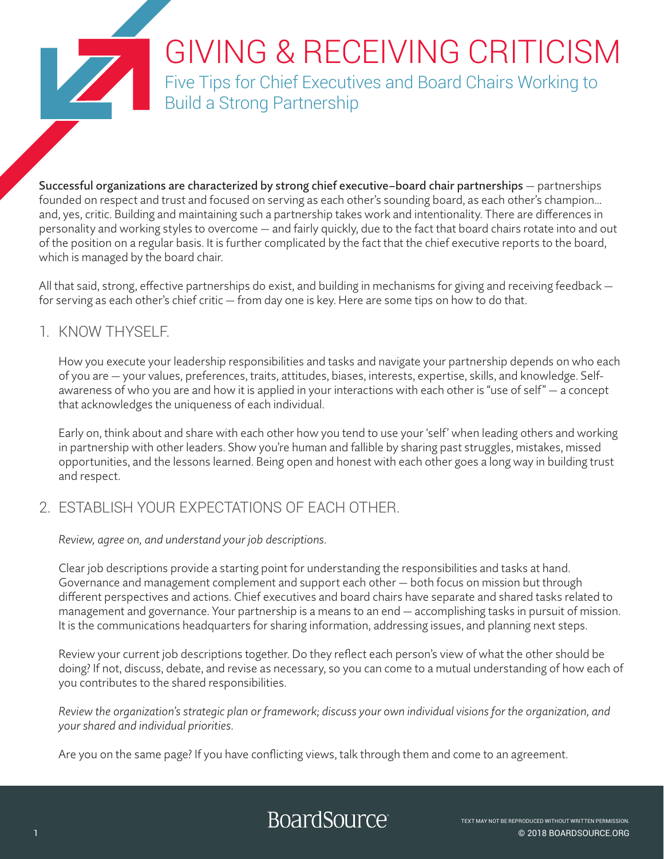# GIVING & RECEIVING CRITICISM

Five Tips for Chief Executives and Board Chairs Working to Build a Strong Partnership

Successful organizations are characterized by strong chief executive–board chair partnerships — partnerships founded on respect and trust and focused on serving as each other's sounding board, as each other's champion… and, yes, critic. Building and maintaining such a partnership takes work and intentionality. There are differences in personality and working styles to overcome — and fairly quickly, due to the fact that board chairs rotate into and out of the position on a regular basis. It is further complicated by the fact that the chief executive reports to the board, which is managed by the board chair.

All that said, strong, effective partnerships do exist, and building in mechanisms for giving and receiving feedback for serving as each other's chief critic — from day one is key. Here are some tips on how to do that.

## 1. KNOW THYSELF.

How you execute your leadership responsibilities and tasks and navigate your partnership depends on who each of you are — your values, preferences, traits, attitudes, biases, interests, expertise, skills, and knowledge. Selfawareness of who you are and how it is applied in your interactions with each other is "use of self" — a concept that acknowledges the uniqueness of each individual.

Early on, think about and share with each other how you tend to use your 'self' when leading others and working in partnership with other leaders. Show you're human and fallible by sharing past struggles, mistakes, missed opportunities, and the lessons learned. Being open and honest with each other goes a long way in building trust and respect.

# 2. ESTABLISH YOUR EXPECTATIONS OF EACH OTHER.

*Review, agree on, and understand your job descriptions.* 

Clear job descriptions provide a starting point for understanding the responsibilities and tasks at hand. Governance and management complement and support each other — both focus on mission but through different perspectives and actions. Chief executives and board chairs have separate and shared tasks related to management and governance. Your partnership is a means to an end — accomplishing tasks in pursuit of mission. It is the communications headquarters for sharing information, addressing issues, and planning next steps.

Review your current job descriptions together. Do they reflect each person's view of what the other should be doing? If not, discuss, debate, and revise as necessary, so you can come to a mutual understanding of how each of you contributes to the shared responsibilities.

*Review the organization's strategic plan or framework; discuss your own individual visions for the organization, and your shared and individual priorities.*

Are you on the same page? If you have conflicting views, talk through them and come to an agreement.